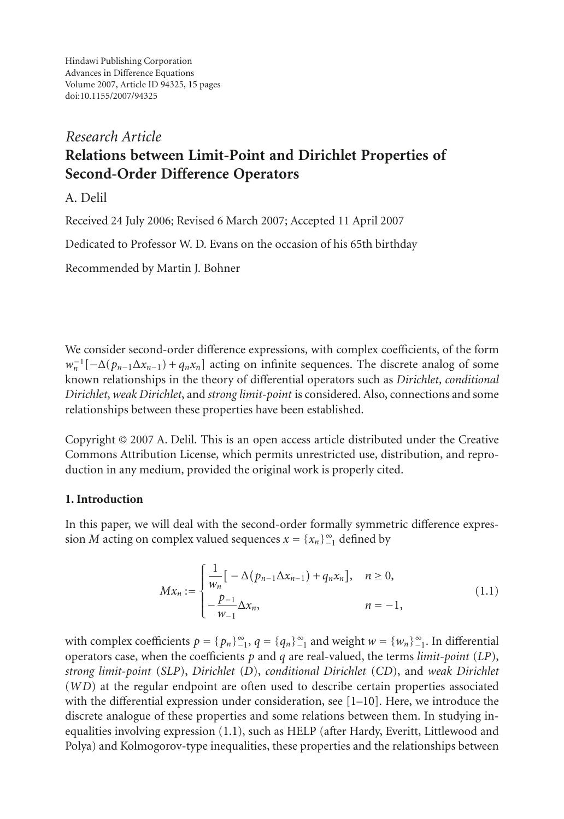Hindawi Publishing Corporation Advances in Difference Equations Volume 2007, Article ID 94325, [15](#page-13-0) pages doi:10.1155/2007/94325

# *Research Article* **Relations between Limit-Point and Dirichlet Properties of Second-Order Difference Operators**

A. Delil

Received 24 July 2006; Revised 6 March 2007; Accepted 11 April 2007

Dedicated to Professor W. D. Evans on the occasion of his 65th birthday

Recommended by Martin J. Bohner

We consider second-order difference expressions, with complex coefficients, of the form  $w_n^{-1}[-\Delta(p_{n-1}\Delta x_{n-1}) + q_n x_n]$  acting on infinite sequences. The discrete analog of some known relationships in the theory of differential operators such as *Dirichlet*, *conditional Dirichlet*, *weak Dirichlet*, and *strong limit-point* is considered. Also, connections and some relationships between these properties have been established.

Copyright © 2007 A. Delil. This is an open access article distributed under the Creative Commons Attribution License, which permits unrestricted use, distribution, and reproduction in any medium, provided the original work is properly cited.

# **1. Introduction**

In this paper, we will deal with the second-order formally symmetric difference expression *M* acting on complex valued sequences  $x = \{x_n\}_{n=1}^{\infty}$  defined by

<span id="page-0-0"></span>
$$
Mx_n := \begin{cases} \frac{1}{w_n} \left[ -\Delta(p_{n-1} \Delta x_{n-1}) + q_n x_n \right], & n \ge 0, \\ -\frac{p_{-1}}{w_{-1}} \Delta x_n, & n = -1, \end{cases}
$$
(1.1)

with complex coefficients  $p = \{p_n\}_{-1}^{\infty}$ ,  $q = \{q_n\}_{-1}^{\infty}$  and weight  $w = \{w_n\}_{-1}^{\infty}$ . In differential operators case, when the coefficients *p* and *q* are real-valued, the terms *limit-point* (*LP*), *strong limit-point* (*SLP*), *Dirichlet* (*D*), *conditional Dirichlet* (*CD*), and *weak Dirichlet* (*WD*) at the regular endpoint are often used to describe certain properties associated with the differential expression under consideration, see  $[1-10]$  $[1-10]$ . Here, we introduce the discrete analogue of these properties and some relations between them. In studying inequalities involving expression [\(1.1\)](#page-0-0), such as HELP (after Hardy, Everitt, Littlewood and Polya) and Kolmogorov-type inequalities, these properties and the relationships between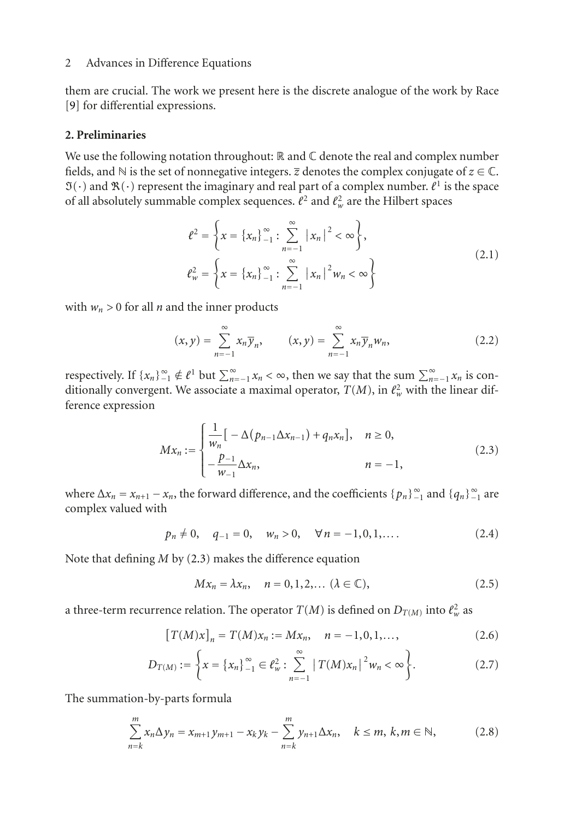them are crucial. The work we present here is the discrete analogue of the work by Race [\[9\]](#page-14-1) for differential expressions.

# **2. Preliminaries**

We use the following notation throughout:  $\mathbb R$  and  $\mathbb C$  denote the real and complex number fields, and  $\mathbb N$  is the set of nonnegative integers.  $\overline{z}$  denotes the complex conjugate of  $z \in \mathbb C$ .  $\mathfrak{I}(\cdot)$  and  $\mathfrak{R}(\cdot)$  represent the imaginary and real part of a complex number.  $\ell^1$  is the space of all absolutely summable complex sequences.  $\ell^2$  and  $\ell^2_w$  are the Hilbert spaces

$$
\ell^{2} = \left\{ x = \left\{ x_{n} \right\}_{-1}^{\infty} : \sum_{n=-1}^{\infty} |x_{n}|^{2} < \infty \right\},
$$
\n
$$
\ell_{w}^{2} = \left\{ x = \left\{ x_{n} \right\}_{-1}^{\infty} : \sum_{n=-1}^{\infty} |x_{n}|^{2} w_{n} < \infty \right\}
$$
\n(2.1)

with  $w_n > 0$  for all *n* and the inner products

$$
(x, y) = \sum_{n=-1}^{\infty} x_n \overline{y}_n, \qquad (x, y) = \sum_{n=-1}^{\infty} x_n \overline{y}_n w_n,
$$
 (2.2)

respectively. If  $\{x_n\}_{n=1}^{\infty} \notin \ell^1$  but  $\sum_{n=-1}^{\infty} x_n < \infty$ , then we say that the sum  $\sum_{n=-1}^{\infty} x_n$  is conditionally convergent. We associate a maximal operator,  $T(M)$ , in  $\ell_w^2$  with the linear difference expression

<span id="page-1-0"></span>
$$
Mx_n := \begin{cases} \frac{1}{w_n} \left[ -\Delta (p_{n-1} \Delta x_{n-1}) + q_n x_n \right], & n \ge 0, \\ -\frac{p_{-1}}{w_{-1}} \Delta x_n, & n = -1, \end{cases}
$$
(2.3)

where  $\Delta x_n = x_{n+1} - x_n$ , the forward difference, and the coefficients  $\{p_n\}_{-1}^{\infty}$  and  $\{q_n\}_{-1}^{\infty}$  are complex valued with

$$
p_n \neq 0
$$
,  $q_{-1} = 0$ ,  $w_n > 0$ ,  $\forall n = -1, 0, 1, ...$  (2.4)

Note that defining *M* by [\(2.3\)](#page-1-0) makes the difference equation

<span id="page-1-2"></span><span id="page-1-1"></span>
$$
Mx_n = \lambda x_n, \quad n = 0, 1, 2, \dots \ (\lambda \in \mathbb{C}), \tag{2.5}
$$

a three-term recurrence relation. The operator  $T(M)$  is defined on  $D_{T(M)}$  into  $\ell_w^2$  as

$$
[T(M)x]_n = T(M)x_n := Mx_n, \quad n = -1, 0, 1, \dots,
$$
\n(2.6)

$$
D_{T(M)} := \left\{ x = \left\{ x_n \right\}_{-1}^{\infty} \in \ell_w^2 : \sum_{n=-1}^{\infty} \left| T(M) x_n \right|^2 w_n < \infty \right\}. \tag{2.7}
$$

The summation-by-parts formula

$$
\sum_{n=k}^{m} x_n \Delta y_n = x_{m+1} y_{m+1} - x_k y_k - \sum_{n=k}^{m} y_{n+1} \Delta x_n, \quad k \le m, \, k, m \in \mathbb{N},
$$
 (2.8)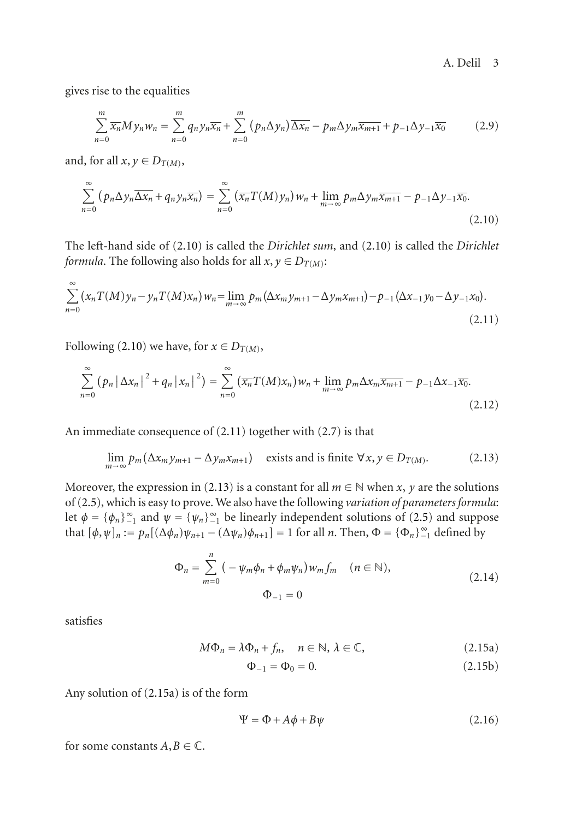gives rise to the equalities

<span id="page-2-0"></span>
$$
\sum_{n=0}^{m} \overline{x_n} My_n w_n = \sum_{n=0}^{m} q_n y_n \overline{x_n} + \sum_{n=0}^{m} (p_n \Delta y_n) \overline{\Delta x_n} - p_m \Delta y_m \overline{x_{m+1}} + p_{-1} \Delta y_{-1} \overline{x_0}
$$
(2.9)

and, for all  $x, y \in D_{T(M)}$ ,

$$
\sum_{n=0}^{\infty} (p_n \Delta y_n \overline{\Delta x_n} + q_n y_n \overline{x_n}) = \sum_{n=0}^{\infty} (\overline{x_n} T(M) y_n) w_n + \lim_{m \to \infty} p_m \Delta y_m \overline{x_{m+1}} - p_{-1} \Delta y_{-1} \overline{x_0}.
$$
\n(2.10)

The left-hand side of [\(2.10\)](#page-2-0) is called the *Dirichlet sum*, and [\(2.10\)](#page-2-0) is called the *Dirichlet formula*. The following also holds for all  $x, y \in D_{T(M)}$ :

$$
\sum_{n=0}^{\infty} (x_n T(M) y_n - y_n T(M) x_n) w_n = \lim_{m \to \infty} p_m(\Delta x_m y_{m+1} - \Delta y_m x_{m+1}) - p_{-1}(\Delta x_{-1} y_0 - \Delta y_{-1} x_0).
$$
\n(2.11)

Following [\(2.10\)](#page-2-0) we have, for  $x \in D_{T(M)}$ ,

<span id="page-2-1"></span>
$$
\sum_{n=0}^{\infty} (p_n |\Delta x_n|^2 + q_n |x_n|^2) = \sum_{n=0}^{\infty} (\overline{x_n} T(M)x_n) w_n + \lim_{m \to \infty} p_m \Delta x_m \overline{x_{m+1}} - p_{-1} \Delta x_{-1} \overline{x_0}.
$$
\n(2.12)

An immediate consequence of [\(2.11\)](#page-2-1) together with [\(2.7\)](#page-1-1) is that

$$
\lim_{m \to \infty} p_m(\Delta x_m y_{m+1} - \Delta y_m x_{m+1}) \quad \text{exists and is finite } \forall x, y \in D_{T(M)}.
$$
 (2.13)

Moreover, the expression in [\(2.13\)](#page-2-2) is a constant for all  $m \in \mathbb{N}$  when *x*, *y* are the solutions of [\(2.5\)](#page-1-2), which is easy to prove. We also have the following *variation of parameters formula*: let  $\phi = {\phi_n}_{1}^{\infty}$  and  $\psi = {\psi_n}_{1}^{\infty}$  be linearly independent solutions of [\(2.5\)](#page-1-2) and suppose that  $[\phi, \psi]_n := p_n[(\Delta \phi_n)\psi_{n+1} - (\Delta \psi_n)\phi_{n+1}] = 1$  for all *n*. Then,  $\Phi = {\Phi_n}_{\geq 1}^{\infty}$  defined by

<span id="page-2-4"></span><span id="page-2-2"></span>
$$
\Phi_n = \sum_{m=0}^n \left( -\psi_m \phi_n + \phi_m \psi_n \right) w_m f_m \quad (n \in \mathbb{N}),
$$
\n
$$
\Phi_{-1} = 0
$$
\n(2.14)

satisfies

$$
M\Phi_n = \lambda \Phi_n + f_n, \quad n \in \mathbb{N}, \lambda \in \mathbb{C}, \tag{2.15a}
$$

<span id="page-2-3"></span>
$$
\Phi_{-1} = \Phi_0 = 0. \tag{2.15b}
$$

Any solution of [\(2.15a\)](#page-2-3) is of the form

$$
\Psi = \Phi + A\phi + B\psi \tag{2.16}
$$

for some constants  $A, B \in \mathbb{C}$ .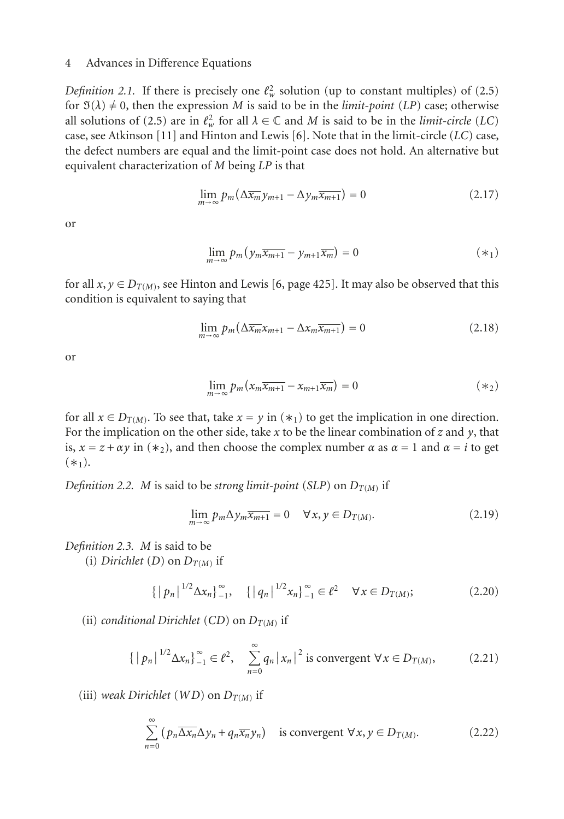*Definition 2.1.* If there is precisely one  $\ell_w^2$  solution (up to constant multiples) of [\(2.5\)](#page-1-2) for  $\mathfrak{I}(\lambda) \neq 0$ , then the expression *M* is said to be in the *limit-point* (*LP*) case; otherwise all solutions of [\(2.5\)](#page-1-2) are in  $\ell_w^2$  for all  $\lambda \in \mathbb{C}$  and *M* is said to be in the *limit-circle* (*LC*) case, see Atkinson [\[11](#page-14-2)] and Hinton and Lewis [\[6\]](#page-13-2). Note that in the limit-circle (*LC*) case, the defect numbers are equal and the limit-point case does not hold. An alternative but equivalent characterization of *M* being *LP* is that

$$
\lim_{m \to \infty} p_m \left( \Delta \overline{x_m} y_{m+1} - \Delta y_m \overline{x_{m+1}} \right) = 0 \tag{2.17}
$$

<span id="page-3-0"></span>or

$$
\lim_{m \to \infty} p_m \left( y_m \overline{x_{m+1}} - y_{m+1} \overline{x_m} \right) = 0 \tag{8.1}
$$

for all  $x, y \in D_{T(M)}$ , see Hinton and Lewis [\[6,](#page-13-2) page 425]. It may also be observed that this condition is equivalent to saying that

$$
\lim_{m \to \infty} p_m \left( \Delta \overline{x_m} x_{m+1} - \Delta x_m \overline{x_{m+1}} \right) = 0 \tag{2.18}
$$

<span id="page-3-1"></span>or

$$
\lim_{m \to \infty} p_m \left( x_m \overline{x_{m+1}} - x_{m+1} \overline{x_m} \right) = 0 \tag{8.1}
$$

for all  $x \in D_{T(M)}$ . To see that, take  $x = y$  in  $(*_1)$  to get the implication in one direction. For the implication on the other side, take *x* to be the linear combination of *z* and *y*, that is,  $x = z + \alpha y$  in (\*2), and then choose the complex number  $\alpha$  as  $\alpha = 1$  and  $\alpha = i$  to get  $(*_1).$ 

*Definition 2.2. M* is said to be *strong limit-point* (*SLP*) on  $D_{T(M)}$  if

<span id="page-3-2"></span>
$$
\lim_{m \to \infty} p_m \Delta y_m \overline{x_{m+1}} = 0 \quad \forall x, y \in D_{T(M)}.
$$
\n(2.19)

*Definition 2.3. M* is said to be

(i) *Dirichlet* (*D*) on  $D_{T(M)}$  if

$$
\left\{ \left| p_n \right|^{1/2} \Delta x_n \right\}_{-1}^{\infty}, \quad \left\{ \left| q_n \right|^{1/2} x_n \right\}_{-1}^{\infty} \in \ell^2 \quad \forall x \in D_{T(M)}; \tag{2.20}
$$

(ii) *conditional Dirichlet* (*CD*) on  $D_{T(M)}$  if

$$
\{ |p_n|^{1/2} \Delta x_n \}_{-1}^{\infty} \in \ell^2, \quad \sum_{n=0}^{\infty} q_n |x_n|^2 \text{ is convergent } \forall x \in D_{T(M)}, \tag{2.21}
$$

(iii) *weak Dirichlet* (*WD*) on  $D_{T(M)}$  if

<span id="page-3-3"></span>
$$
\sum_{n=0}^{\infty} \left( p_n \overline{\Delta x_n} \Delta y_n + q_n \overline{x_n} y_n \right) \text{ is convergent } \forall x, y \in D_{T(M)}.
$$
 (2.22)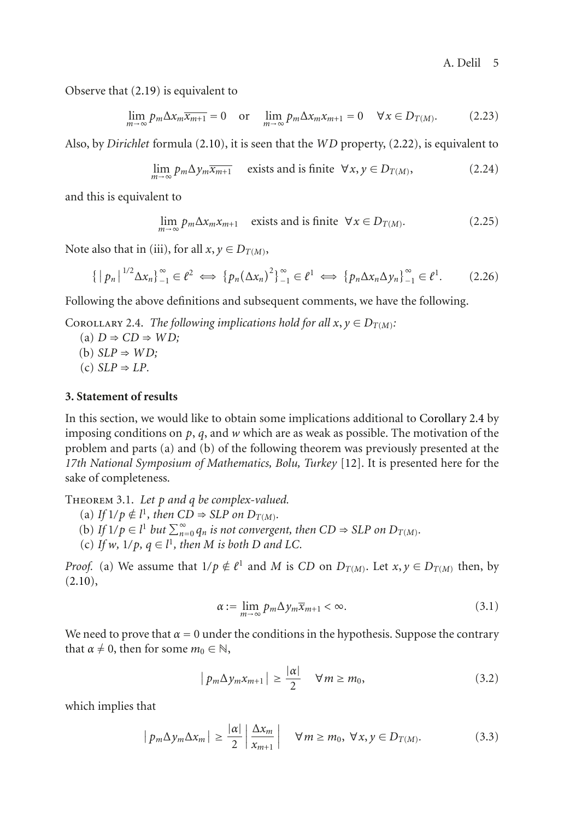Observe that [\(2.19\)](#page-3-2) is equivalent to

$$
\lim_{m \to \infty} p_m \Delta x_m \overline{x_{m+1}} = 0 \quad \text{or} \quad \lim_{m \to \infty} p_m \Delta x_m x_{m+1} = 0 \quad \forall x \in D_{T(M)}.
$$
 (2.23)

Also, by *Dirichlet* formula [\(2.10\)](#page-2-0), it is seen that the *WD* property, [\(2.22\)](#page-3-3), is equivalent to

<span id="page-4-3"></span>
$$
\lim_{m \to \infty} p_m \Delta y_m \overline{x_{m+1}} \quad \text{exists and is finite } \forall x, y \in D_{T(M)}, \tag{2.24}
$$

and this is equivalent to

$$
\lim_{m \to \infty} p_m \Delta x_m x_{m+1} \quad \text{exists and is finite } \forall x \in D_{T(M)}.\tag{2.25}
$$

Note also that in (iii), for all  $x, y \in D_{T(M)}$ ,

$$
\left\{ \left\| p_n \right\|^{1/2} \Delta x_n \right\}_{-1}^{\infty} \in \ell^2 \iff \left\{ p_n \left( \Delta x_n \right)^2 \right\}_{-1}^{\infty} \in \ell^1 \iff \left\{ p_n \Delta x_n \Delta y_n \right\}_{-1}^{\infty} \in \ell^1. \tag{2.26}
$$

<span id="page-4-0"></span>Following the above definitions and subsequent comments, we have the following.

COROLLARY 2.4. *The following implications hold for all*  $x, y \in D_{T(M)}$ :

 $(A)$  *D*  $\Rightarrow$  *CD*  $\Rightarrow$  *WD*; (b)  $SLP \Rightarrow WD;$  $(c) SLP \Rightarrow LP$ .

# **3. Statement of results**

In this section, we would like to obtain some implications additional to [Corollary 2.4](#page-4-0) by imposing conditions on *p*, *q*, and *w* which are as weak as possible. The motivation of the problem and parts (a) and (b) of the following theorem was previously presented at the *17th National Symposium of Mathematics, Bolu, Turkey* [\[12](#page-14-3)]. It is presented here for the sake of completeness.

<span id="page-4-2"></span>Theorem 3.1. *Let p and q be complex-valued.*

- $I(f \mid l/p \notin l^1, \text{ then } CD \Rightarrow SLP \text{ on } D_{T(M)}.$
- (b) *If*  $1/p \in l^1$  *but*  $\sum_{n=0}^{\infty} q_n$  *is not convergent, then*  $CD \Rightarrow SLP$  *on*  $D_{T(M)}$ *.*
- (c) If  $w$ ,  $1/p$ ,  $q \in l^1$ , then  $M$  is both  $D$  and  $LC$ .

*Proof.* (a) We assume that  $1/p \notin \ell^1$  and *M* is *CD* on  $D_{T(M)}$ . Let  $x, y \in D_{T(M)}$  then, by  $(2.10),$  $(2.10),$ 

$$
\alpha := \lim_{m \to \infty} p_m \Delta y_m \overline{x}_{m+1} < \infty. \tag{3.1}
$$

We need to prove that  $\alpha = 0$  under the conditions in the hypothesis. Suppose the contrary that  $\alpha \neq 0$ , then for some  $m_0 \in \mathbb{N}$ ,

<span id="page-4-1"></span>
$$
|p_m \Delta y_m x_{m+1}| \ge \frac{|\alpha|}{2} \quad \forall m \ge m_0,
$$
 (3.2)

which implies that

$$
|p_m \Delta y_m \Delta x_m| \ge \frac{|\alpha|}{2} \left| \frac{\Delta x_m}{x_{m+1}} \right| \quad \forall m \ge m_0, \ \forall x, y \in D_{T(M)}.
$$
 (3.3)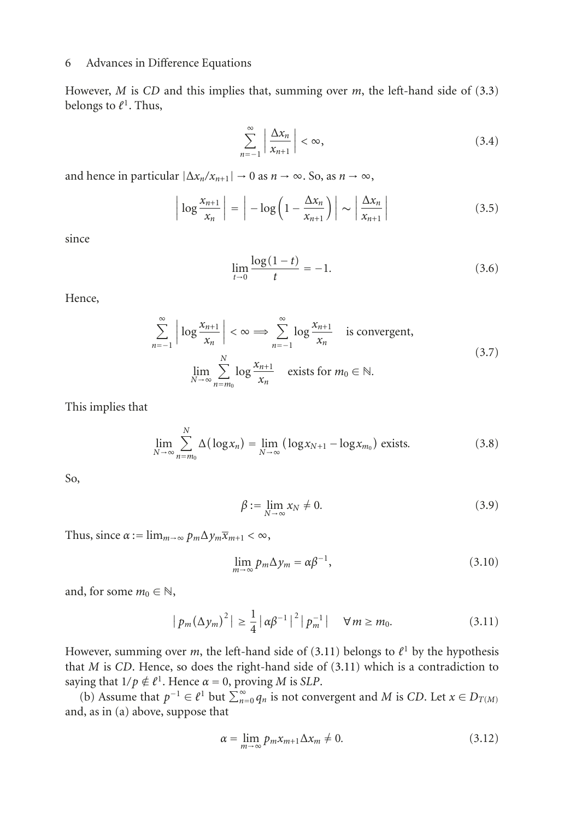However, *M* is *CD* and this implies that, summing over *m*, the left-hand side of [\(3.3\)](#page-4-1) belongs to  $\ell^1$ . Thus,

$$
\sum_{n=-1}^{\infty} \left| \frac{\Delta x_n}{x_{n+1}} \right| < \infty,\tag{3.4}
$$

and hence in particular  $|\Delta x_n/x_{n+1}| \to 0$  as  $n \to \infty$ , So, as  $n \to \infty$ ,

$$
\left| \log \frac{x_{n+1}}{x_n} \right| = \left| -\log \left( 1 - \frac{\Delta x_n}{x_{n+1}} \right) \right| \sim \left| \frac{\Delta x_n}{x_{n+1}} \right| \tag{3.5}
$$

since

$$
\lim_{t \to 0} \frac{\log(1 - t)}{t} = -1.
$$
\n(3.6)

Hence,

$$
\sum_{n=-1}^{\infty} \left| \log \frac{x_{n+1}}{x_n} \right| < \infty \implies \sum_{n=-1}^{\infty} \log \frac{x_{n+1}}{x_n} \quad \text{is convergent,}
$$
\n
$$
\lim_{N \to \infty} \sum_{n=m_0}^{N} \log \frac{x_{n+1}}{x_n} \quad \text{exists for } m_0 \in \mathbb{N}.
$$
\n
$$
(3.7)
$$

This implies that

$$
\lim_{N \to \infty} \sum_{n=m_0}^{N} \Delta(\log x_n) = \lim_{N \to \infty} (\log x_{N+1} - \log x_{m_0}) \text{ exists.}
$$
\n(3.8)

So,

$$
\beta := \lim_{N \to \infty} x_N \neq 0. \tag{3.9}
$$

Thus, since  $\alpha := \lim_{m \to \infty} p_m \Delta y_m \overline{x}_{m+1} < \infty$ ,

<span id="page-5-0"></span>
$$
\lim_{m \to \infty} p_m \Delta y_m = \alpha \beta^{-1},\tag{3.10}
$$

and, for some  $m_0 \in \mathbb{N}$ ,

$$
|p_m(\Delta y_m)^2| \ge \frac{1}{4} |\alpha \beta^{-1}|^2 |p_m^{-1}| \quad \forall m \ge m_0.
$$
 (3.11)

However, summing over *m*, the left-hand side of [\(3.11\)](#page-5-0) belongs to  $l^1$  by the hypothesis that *M* is *CD*. Hence, so does the right-hand side of [\(3.11\)](#page-5-0) which is a contradiction to saying that  $1/p \notin \ell^1$ . Hence  $\alpha = 0$ , proving *M* is *SLP*.

(b) Assume that  $p^{-1} \in \ell^1$  but  $\sum_{n=0}^{\infty} q_n$  is not convergent and *M* is *CD*. Let *x* ∈ *D<sub>T(<i>M*)</sub> and, as in (a) above, suppose that

$$
\alpha = \lim_{m \to \infty} p_m x_{m+1} \Delta x_m \neq 0. \tag{3.12}
$$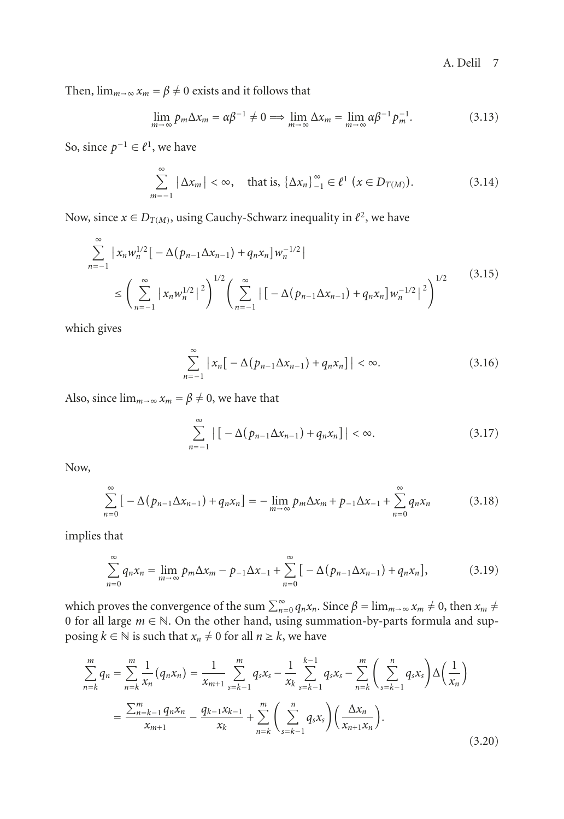Then,  $\lim_{m\to\infty} x_m = \beta \neq 0$  exists and it follows that

$$
\lim_{m \to \infty} p_m \Delta x_m = \alpha \beta^{-1} \neq 0 \implies \lim_{m \to \infty} \Delta x_m = \lim_{m \to \infty} \alpha \beta^{-1} p_m^{-1}.
$$
 (3.13)

So, since  $p^{-1}$  ∈  $\ell^1$ , we have

$$
\sum_{m=-1}^{\infty} |\Delta x_m| < \infty, \quad \text{that is, } {\{\Delta x_n\}}_{-1}^{\infty} \in \ell^1 \ (\text{and} \ D_{T(M)}).
$$
 (3.14)

Now, since  $x \in D_{T(M)}$ , using Cauchy-Schwarz inequality in  $\ell^2$ , we have

$$
\sum_{n=-1}^{\infty} |x_n w_n^{1/2}| - \Delta (p_{n-1} \Delta x_{n-1}) + q_n x_n] w_n^{-1/2}
$$
\n
$$
\leq \left( \sum_{n=-1}^{\infty} |x_n w_n^{1/2}|^2 \right)^{1/2} \left( \sum_{n=-1}^{\infty} |[-\Delta (p_{n-1} \Delta x_{n-1}) + q_n x_n] w_n^{-1/2}|^2 \right)^{1/2}
$$
\n(3.15)

which gives

$$
\sum_{n=-1}^{\infty} |x_n[-\Delta(p_{n-1}\Delta x_{n-1}) + q_n x_n]| < \infty.
$$
 (3.16)

Also, since  $\lim_{m\to\infty} x_m = \beta \neq 0$ , we have that

$$
\sum_{n=-1}^{\infty} \left| \left[ -\Delta (p_{n-1} \Delta x_{n-1}) + q_n x_n \right] \right| < \infty. \tag{3.17}
$$

Now,

$$
\sum_{n=0}^{\infty} \left[ -\Delta (p_{n-1} \Delta x_{n-1}) + q_n x_n \right] = -\lim_{m \to \infty} p_m \Delta x_m + p_{-1} \Delta x_{-1} + \sum_{n=0}^{\infty} q_n x_n \tag{3.18}
$$

implies that

$$
\sum_{n=0}^{\infty} q_n x_n = \lim_{m \to \infty} p_m \Delta x_m - p_{-1} \Delta x_{-1} + \sum_{n=0}^{\infty} \left[ -\Delta (p_{n-1} \Delta x_{n-1}) + q_n x_n \right],
$$
(3.19)

which proves the convergence of the sum  $\sum_{n=0}^{\infty} q_n x_n$ . Since  $\beta = \lim_{m \to \infty} x_m \neq 0$ , then  $x_m \neq 0$ 0 for all large *<sup>m</sup>* <sup>∈</sup> <sup>N</sup>. On the other hand, using summation-by-parts formula and supposing  $k \in \mathbb{N}$  is such that  $x_n \neq 0$  for all  $n \geq k$ , we have

<span id="page-6-0"></span>
$$
\sum_{n=k}^{m} q_n = \sum_{n=k}^{m} \frac{1}{x_n} (q_n x_n) = \frac{1}{x_{m+1}} \sum_{s=k-1}^{m} q_s x_s - \frac{1}{x_k} \sum_{s=k-1}^{k-1} q_s x_s - \sum_{n=k}^{m} \left( \sum_{s=k-1}^{n} q_s x_s \right) \Delta \left( \frac{1}{x_n} \right)
$$

$$
= \frac{\sum_{n=k-1}^{m} q_n x_n}{x_{m+1}} - \frac{q_{k-1} x_{k-1}}{x_k} + \sum_{n=k}^{m} \left( \sum_{s=k-1}^{n} q_s x_s \right) \left( \frac{\Delta x_n}{x_{n+1} x_n} \right).
$$
(3.20)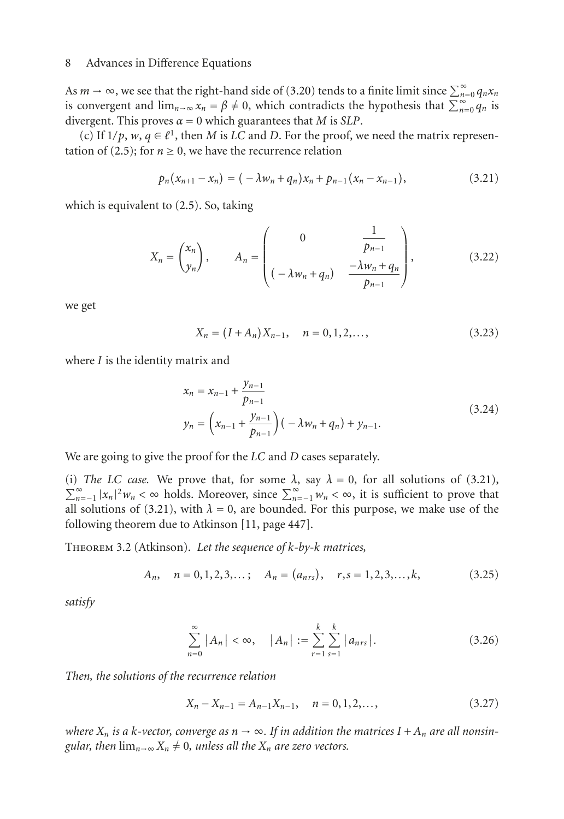As  $m \to \infty$ , we see that the right-hand side of [\(3.20\)](#page-6-0) tends to a finite limit since  $\sum_{n=0}^{\infty} q_n x_n$ is convergent and  $\lim_{n\to\infty} x_n = \beta \neq 0$ , which contradicts the hypothesis that  $\sum_{n=0}^{\infty} q_n$  is divergent. This proves  $\alpha = 0$  which guarantees that *M* is *SLP*.

(c) If  $1/p$ ,  $w, q \in \ell^1$ , then *M* is *LC* and *D*. For the proof, we need the matrix represen-tation of [\(2.5\)](#page-1-2); for  $n \ge 0$ , we have the recurrence relation

<span id="page-7-0"></span>
$$
p_n(x_{n+1}-x_n)=(-\lambda w_n+q_n)x_n+p_{n-1}(x_n-x_{n-1}),
$$
\n(3.21)

which is equivalent to [\(2.5\)](#page-1-2). So, taking

$$
X_n = \begin{pmatrix} x_n \\ y_n \end{pmatrix}, \qquad A_n = \begin{pmatrix} 0 & \frac{1}{p_{n-1}} \\ \left( -\lambda w_n + q_n \right) & \frac{-\lambda w_n + q_n}{p_{n-1}} \end{pmatrix}, \tag{3.22}
$$

we get

$$
X_n = (I + A_n)X_{n-1}, \quad n = 0, 1, 2, \dots,
$$
\n(3.23)

where *I* is the identity matrix and

$$
x_n = x_{n-1} + \frac{y_{n-1}}{p_{n-1}}
$$
  

$$
y_n = \left(x_{n-1} + \frac{y_{n-1}}{p_{n-1}}\right) \left(-\lambda w_n + q_n\right) + y_{n-1}.
$$
 (3.24)

We are going to give the proof for the *LC* and *D* cases separately.

(i) *The LC case.* We prove that, for some  $\lambda$ , say  $\lambda = 0$ , for all solutions of [\(3.21\)](#page-7-0),  $\sum_{n=-1}^{\infty} |x_n|^2 w_n < \infty$  holds. Moreover, since  $\sum_{n=-1}^{\infty} w_n < \infty$ , it is sufficient to prove that all solutions of [\(3.21\)](#page-7-0), with  $\lambda = 0$ , are bounded. For this purpose, we make use of the following theorem due to Atkinson [\[11](#page-14-2), page 447].

Theorem 3.2 (Atkinson). *Let the sequence of k-by-k matrices,*

$$
A_n, \quad n = 0, 1, 2, 3, \dots; \quad A_n = (a_{nrs}), \quad r, s = 1, 2, 3, \dots, k,
$$
 (3.25)

*satisfy*

$$
\sum_{n=0}^{\infty} |A_n| < \infty, \quad |A_n| := \sum_{r=1}^{k} \sum_{s=1}^{k} |a_{nrs}|. \tag{3.26}
$$

*Then, the solutions of the recurrence relation*

$$
X_n - X_{n-1} = A_{n-1} X_{n-1}, \quad n = 0, 1, 2, \dots,
$$
\n(3.27)

*where*  $X_n$  *is a k-vector, converge as*  $n \to \infty$ . If *in addition the matrices*  $I + A_n$  *are all nonsingular, then*  $\lim_{n\to\infty} X_n \neq 0$ *, unless all the*  $X_n$  *are zero vectors.*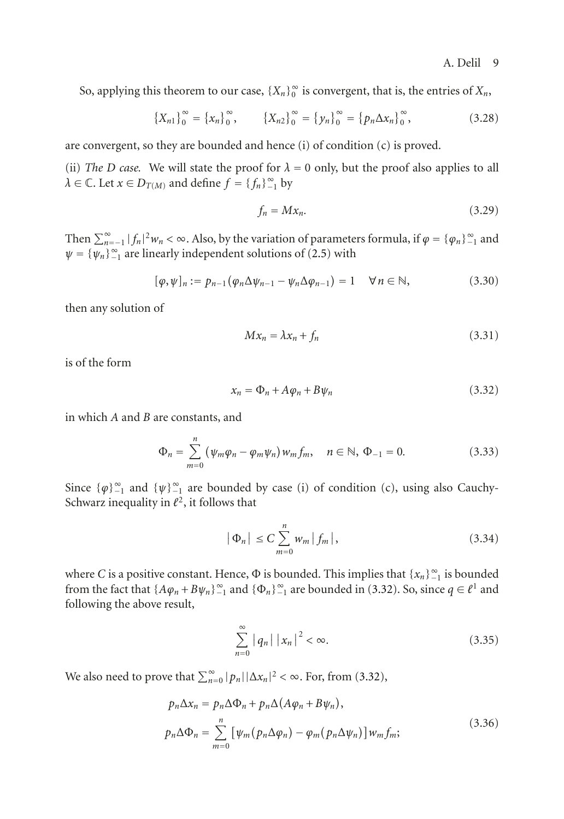So, applying this theorem to our case,  $\{X_n\}_0^\infty$  is convergent, that is, the entries of  $X_n$ ,

$$
\left\{X_{n1}\right\}_{0}^{\infty} = \left\{x_{n}\right\}_{0}^{\infty}, \qquad \left\{X_{n2}\right\}_{0}^{\infty} = \left\{y_{n}\right\}_{0}^{\infty} = \left\{p_{n}\Delta x_{n}\right\}_{0}^{\infty}, \tag{3.28}
$$

are convergent, so they are bounded and hence (i) of condition (c) is proved.

(ii) *The D* case. We will state the proof for  $\lambda = 0$  only, but the proof also applies to all  $\lambda \in \mathbb{C}$ . Let  $x \in D_{T(M)}$  and define  $f = \{f_n\}_{n=1}^{\infty}$  by

$$
f_n = Mx_n. \tag{3.29}
$$

Then  $\sum_{n=-1}^{\infty} |f_n|^2 w_n < \infty$ . Also, by the variation of parameters formula, if  $\varphi = {\varphi_n}_{-1}^{\infty}$  and  $\psi = {\psi_n}_{1}^{\infty}$  are linearly independent solutions of [\(2.5\)](#page-1-2) with

$$
[\varphi,\psi]_n := p_{n-1}(\varphi_n \Delta \psi_{n-1} - \psi_n \Delta \varphi_{n-1}) = 1 \quad \forall n \in \mathbb{N},
$$
\n(3.30)

then any solution of

<span id="page-8-0"></span>
$$
Mx_n = \lambda x_n + f_n \tag{3.31}
$$

is of the form

$$
x_n = \Phi_n + A\varphi_n + B\psi_n \tag{3.32}
$$

in which *A* and *B* are constants, and

$$
\Phi_n = \sum_{m=0}^n (\psi_m \varphi_n - \varphi_m \psi_n) w_m f_m, \quad n \in \mathbb{N}, \Phi_{-1} = 0.
$$
 (3.33)

Since  $\{\varphi\}_{-1}^{\infty}$  and  $\{\psi\}_{-1}^{\infty}$  are bounded by case (i) of condition (c), using also Cauchy-Schwarz inequality in  $l^2$ , it follows that

$$
\left|\Phi_n\right| \le C \sum_{m=0}^n w_m \left|f_m\right|,\tag{3.34}
$$

where *C* is a positive constant. Hence,  $\Phi$  is bounded. This implies that  $\{x_n\}_{n=1}^{\infty}$  is bounded from the fact that  $\{A\varphi_n + B\psi_n\}_{n=1}^{\infty}$  and  $\{\Phi_n\}_{n=1}^{\infty}$  are bounded in [\(3.32\)](#page-8-0). So, since  $q \in \ell^1$  and following the above result,

$$
\sum_{n=0}^{\infty} |q_n| |x_n|^2 < \infty. \tag{3.35}
$$

We also need to prove that  $\sum_{n=0}^{\infty} |p_n| |\Delta x_n|^2 < \infty$ . For, from [\(3.32\)](#page-8-0),

$$
p_n \Delta x_n = p_n \Delta \Phi_n + p_n \Delta (A \varphi_n + B \psi_n),
$$
  
\n
$$
p_n \Delta \Phi_n = \sum_{m=0}^n \left[ \psi_m (p_n \Delta \varphi_n) - \varphi_m (p_n \Delta \psi_n) \right] w_m f_m;
$$
\n(3.36)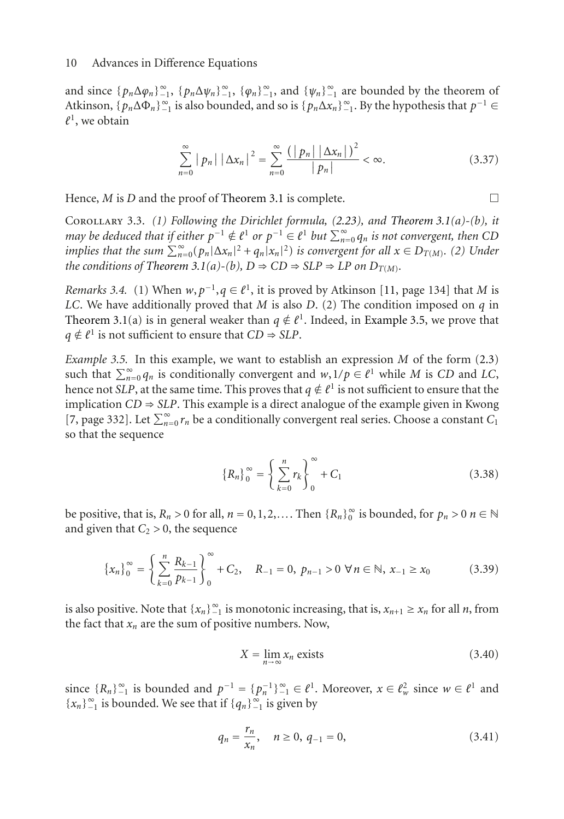and since  $\{p_n \Delta \varphi_n\}_{-1}^{\infty}$ ,  $\{p_n \Delta \psi_n\}_{-1}^{\infty}$ ,  $\{\varphi_n\}_{-1}^{\infty}$ , and  $\{\psi_n\}_{-1}^{\infty}$  are bounded by the theorem of Atkinson,  $\{p_n \Delta \Phi_n\}_{n=1}^{\infty}$  is also bounded, and so is  $\{p_n \Delta x_n\}_{n=1}^{\infty}$ . By the hypothesis that  $p^{-1} \in$  $\ell^1$ , we obtain

$$
\sum_{n=0}^{\infty} |p_n| |\Delta x_n|^2 = \sum_{n=0}^{\infty} \frac{(|p_n| |\Delta x_n|)^2}{|p_n|} < \infty.
$$
 (3.37)

Hence,  $M$  is  $D$  and the proof of [Theorem 3.1](#page-4-2) is complete.  $\Box$ 

Corollary 3.3. *(1) Following the Dirichlet formula, [\(2.23\)](#page-4-3), and [Theorem 3.1\(](#page-4-2)a)-(b), it may be deduced that if either*  $p^{-1} \notin \ell^1$  *or*  $p^{-1} \in \ell^1$  *but*  $\sum_{n=0}^{\infty} q_n$  *is not convergent, then CD implies that the sum*  $\sum_{n=0}^{\infty} (p_n |\Delta x_n|^2 + q_n |x_n|^2)$  *is convergent for all*  $x \in D_{T(M)}$ *. (2) Under the conditions of [Theorem 3.1\(](#page-4-2)a)-(b),*  $D \Rightarrow CD \Rightarrow SLP \Rightarrow LP$  *on*  $D_{T(M)}$ *.* 

*Remarks 3.4.* (1) When  $w, p^{-1}, q \in \ell^1$ , it is proved by Atkinson [\[11](#page-14-2), page 134] that *M* is *LC*. We have additionally proved that *M* is also *D*. (2) The condition imposed on *q* in [Theorem 3.1\(](#page-4-2)a) is in general weaker than  $q \notin \ell^1$ . Indeed, in [Example 3.5,](#page-9-0) we prove that  $q \notin \ell^1$  is not sufficient to ensure that  $CD \Rightarrow SLP$ .

<span id="page-9-0"></span>*Example 3.5.* In this example, we want to establish an expression *M* of the form [\(2.3\)](#page-1-0) such that  $\sum_{n=0}^{\infty} q_n$  is conditionally convergent and  $w, 1/p \in \ell^1$  while *M* is *CD* and *LC*, hence not *SLP*, at the same time. This proves that  $q \notin \ell^1$  is not sufficient to ensure that the implication  $CD \Rightarrow SLP$ . This example is a direct analogue of the example given in Kwong [\[7,](#page-14-4) page 332]. Let  $\sum_{n=0}^{\infty} r_n$  be a conditionally convergent real series. Choose a constant *C*<sub>1</sub> so that the sequence

$$
\{R_n\}_{0}^{\infty} = \left\{\sum_{k=0}^{n} r_k\right\}_{0}^{\infty} + C_1
$$
 (3.38)

be positive, that is,  $R_n > 0$  for all,  $n = 0, 1, 2, \ldots$ . Then  $\{R_n\}_0^\infty$  is bounded, for  $p_n > 0$   $n \in \mathbb{N}$ and given that  $C_2 > 0$ , the sequence

$$
\left\{x_{n}\right\}_{0}^{\infty} = \left\{\sum_{k=0}^{n} \frac{R_{k-1}}{p_{k-1}}\right\}_{0}^{\infty} + C_{2}, \quad R_{-1} = 0, \ p_{n-1} > 0 \ \forall n \in \mathbb{N}, \ x_{-1} \ge x_{0} \tag{3.39}
$$

is also positive. Note that  $\{x_n\}_{n=1}^{\infty}$  is monotonic increasing, that is,  $x_{n+1} \ge x_n$  for all *n*, from the fact that  $x_n$  are the sum of positive numbers. Now,

<span id="page-9-2"></span><span id="page-9-1"></span>
$$
X = \lim_{n \to \infty} x_n \text{ exists}
$$
 (3.40)

since  ${R_n}_{-1}^{\infty}$  is bounded and  $p^{-1} = {p_n^{-1}}_{-1}^{\infty} \in \ell^1$ . Moreover,  $x \in \ell^2_w$  since  $w \in \ell^1$  and {*x<sub>n</sub>*}<sup>∞</sup><sub>-1</sub> is bounded. We see that if {*q<sub>n</sub>*}<sup>∞</sup><sub>-1</sub> is given by

$$
q_n = \frac{r_n}{x_n}, \quad n \ge 0, \ q_{-1} = 0,
$$
\n(3.41)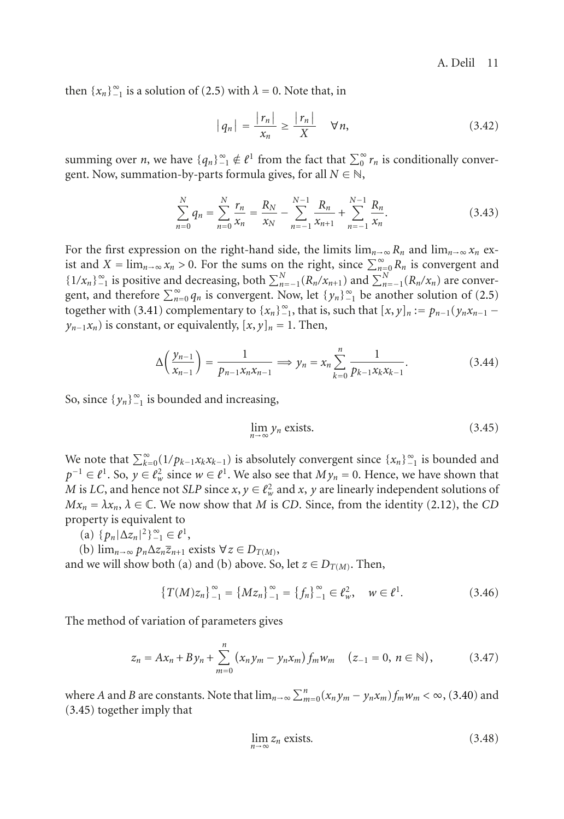then  $\{x_n\}_{-1}^{\infty}$  is a solution of [\(2.5\)](#page-1-2) with  $\lambda = 0$ . Note that, in

$$
|q_n| = \frac{|r_n|}{x_n} \ge \frac{|r_n|}{X} \quad \forall n,
$$
\n(3.42)

summing over *n*, we have  $\{q_n\}_{n=1}^{\infty} \notin \ell^1$  from the fact that  $\sum_0^{\infty} r_n$  is conditionally convergent. Now, summation-by-parts formula gives, for all  $N \in \mathbb{N}$ ,

$$
\sum_{n=0}^{N} q_n = \sum_{n=0}^{N} \frac{r_n}{x_n} = \frac{R_N}{x_N} - \sum_{n=-1}^{N-1} \frac{R_n}{x_{n+1}} + \sum_{n=-1}^{N-1} \frac{R_n}{x_n}.
$$
 (3.43)

For the first expression on the right-hand side, the limits  $\lim_{n\to\infty} R_n$  and  $\lim_{n\to\infty} x_n$  exist and  $X = \lim_{n \to \infty} x_n > 0$ . For the sums on the right, since  $\sum_{n=0}^{\infty} R_n$  is convergent and  $\{1/x_n\}_{n=1}^{\infty}$  is positive and decreasing, both  $\sum_{n=-1}^{N} (R_n/x_{n+1})$  and  $\sum_{n=-1}^{N} (R_n/x_n)$  are convergent, and therefore  $\sum_{n=0}^{\infty} q_n$  is convergent. Now, let  $\{y_n\}_{n=1}^{\infty}$  be another solution of [\(2.5\)](#page-1-2) together with [\(3.41\)](#page-9-1) complementary to  $\{x_n\}_{n=1}^{\infty}$ , that is, such that  $[x, y]_n := p_{n-1}(y_n x_{n-1} - p_n)$  $y_{n-1}x_n$ ) is constant, or equivalently,  $[x, y]_n = 1$ . Then,

$$
\Delta\left(\frac{y_{n-1}}{x_{n-1}}\right) = \frac{1}{p_{n-1}x_nx_{n-1}} \Longrightarrow y_n = x_n \sum_{k=0}^n \frac{1}{p_{k-1}x_kx_{k-1}}.\tag{3.44}
$$

So, since  $\{y_n\}_{n=1}^{\infty}$  is bounded and increasing,

<span id="page-10-0"></span>
$$
\lim_{n \to \infty} y_n \text{ exists.} \tag{3.45}
$$

We note that  $\sum_{k=0}^{\infty} (1/p_{k-1}x_kx_{k-1})$  is absolutely convergent since  $\{x_n\}_{n=1}^{\infty}$  is bounded and *p*<sup>−1</sup> ∈  $\ell^1$ . So,  $y \in \ell^2_w$  since  $w \in \ell^1$ . We also see that  $My_n = 0$ . Hence, we have shown that *M* is *LC*, and hence not *SLP* since  $x, y \in \ell^2_w$  and  $x, y$  are linearly independent solutions of  $Mx_n = \lambda x_n$ ,  $\lambda \in \mathbb{C}$ . We now show that *M* is *CD*. Since, from the identity [\(2.12\)](#page-2-4), the *CD* property is equivalent to

- (a)  $\{p_n | \Delta z_n|^2\}_{-1}^{\infty} \in \ell^1$ ,
- (b)  $\lim_{n\to\infty} p_n \Delta z_n \overline{z}_{n+1}$  exists  $\forall z \in D_{T(M)}$ ,

and we will show both (a) and (b) above. So, let  $z \in D_{T(M)}$ . Then,

$$
\left\{T(M)z_n\right\}_{-1}^{\infty} = \left\{Mz_n\right\}_{-1}^{\infty} = \left\{f_n\right\}_{-1}^{\infty} \in \ell^2_w, \quad w \in \ell^1. \tag{3.46}
$$

The method of variation of parameters gives

$$
z_n = Ax_n + By_n + \sum_{m=0}^n (x_n y_m - y_n x_m) f_m w_m \quad (z_{-1} = 0, n \in \mathbb{N}), \tag{3.47}
$$

where *A* and *B* are constants. Note that  $\lim_{n\to\infty}\sum_{m=0}^{n}(x_ny_m-y_nx_m)f_mw_m < \infty$ , [\(3.40\)](#page-9-2) and [\(3.45\)](#page-10-0) together imply that

<span id="page-10-1"></span>
$$
\lim_{n \to \infty} z_n \text{ exists.} \tag{3.48}
$$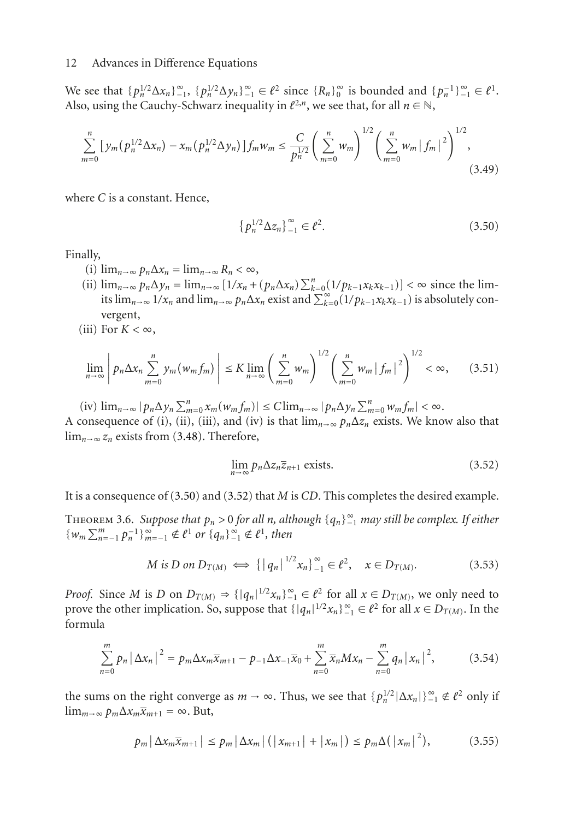We see that  $\{p_n^{1/2} \Delta x_n\}_{-1}^{\infty}$ ,  $\{p_n^{1/2} \Delta y_n\}_{-1}^{\infty} \in \ell^2$  since  $\{R_n\}_0^{\infty}$  is bounded and  $\{p_n^{-1}\}_{-1}^{\infty} \in \ell^1$ . Also, using the Cauchy-Schwarz inequality in  $\ell^{2,n}$ , we see that, for all  $n \in \mathbb{N}$ ,

$$
\sum_{m=0}^{n} \left[ y_m (p_n^{1/2} \Delta x_n) - x_m (p_n^{1/2} \Delta y_n) \right] f_m w_m \le \frac{C}{p_n^{1/2}} \left( \sum_{m=0}^{n} w_m \right)^{1/2} \left( \sum_{m=0}^{n} w_m \left| f_m \right|^2 \right)^{1/2}, \tag{3.49}
$$

where *C* is a constant. Hence,

<span id="page-11-0"></span>
$$
\{p_n^{1/2} \Delta z_n\}_{-1}^{\infty} \in \ell^2. \tag{3.50}
$$

Finally,

- (i)  $\lim_{n\to\infty} p_n \Delta x_n = \lim_{n\to\infty} R_n < \infty$ ,
- (ii)  $\lim_{n \to \infty} p_n \Delta y_n = \lim_{n \to \infty} [1/x_n + (p_n \Delta x_n) \sum_{k=0}^n (1/p_{k-1} x_k x_{k-1})] < \infty$  since the limits  $\lim_{n\to\infty} 1/x_n$  and  $\lim_{n\to\infty} p_n \Delta x_n$  exist and  $\sum_{k=0}^{\infty} (1/p_{k-1}x_kx_{k-1})$  is absolutely convergent,
- (iii) For  $K < \infty$ ,

$$
\lim_{n \to \infty} \left| p_n \Delta x_n \sum_{m=0}^n y_m(w_m f_m) \right| \le K \lim_{n \to \infty} \left( \sum_{m=0}^n w_m \right)^{1/2} \left( \sum_{m=0}^n w_m |f_m|^2 \right)^{1/2} < \infty,
$$
 (3.51)

 $(\text{iv}) \lim_{n \to \infty} |p_n \Delta y_n \sum_{m=0}^n x_m (w_m f_m)| \leq C \lim_{n \to \infty} |p_n \Delta y_n \sum_{m=0}^n w_m f_m| < \infty.$ 

A consequence of (i), (ii), (iii), and (iv) is that  $\lim_{n\to\infty} p_n\Delta z_n$  exists. We know also that lim*n*→∞ *zn* exists from [\(3.48\)](#page-10-1). Therefore,

<span id="page-11-1"></span>
$$
\lim_{n \to \infty} p_n \Delta z_n \overline{z}_{n+1} \text{ exists.}
$$
\n(3.52)

<span id="page-11-2"></span>It is a consequence of [\(3.50\)](#page-11-0) and [\(3.52\)](#page-11-1) that *M* is *CD*. This completes the desired example.

THEOREM 3.6. *Suppose that*  $p_n > 0$  *for all n*, *although*  $\{q_n\}_{n=1}^{\infty}$  *may still be complex. If either*  ${w_m \sum_{n=-1}^{m} p_n^{-1} \}_{m=-1}^{\infty} \notin \ell^1$  or  ${q_n \}_{-1}^{\infty} \notin \ell^1$ , then

$$
M \text{ is } D \text{ on } D_{T(M)} \iff \{ |q_n|^{1/2} x_n \}_{-1}^{\infty} \in \ell^2, \quad x \in D_{T(M)}.
$$
 (3.53)

*Proof.* Since *M* is *D* on  $D_{T(M)} \Rightarrow \{ |q_n|^{1/2} x_n \}_{-1}^{\infty} \in \ell^2$  for all  $x \in D_{T(M)}$ , we only need to prove the other implication. So, suppose that  $\{|q_n|^{1/2}x_n\}_{-1}^{\infty} \in \ell^2$  for all  $x \in D_{T(M)}$ . In the formula

$$
\sum_{n=0}^{m} p_n |\Delta x_n|^2 = p_m \Delta x_m \overline{x}_{m+1} - p_{-1} \Delta x_{-1} \overline{x}_0 + \sum_{n=0}^{m} \overline{x}_n M x_n - \sum_{n=0}^{m} q_n |x_n|^2, \qquad (3.54)
$$

the sums on the right converge as  $m \to \infty$ . Thus, we see that  $\{p_n^{1/2} | \Delta x_n| \}_{n=1}^{\infty} \notin \ell^2$  only if  $\lim_{m\to\infty} p_m \Delta x_m \overline{x}_{m+1} = \infty$ . But,

$$
p_m\left|\Delta x_m\overline{x}_{m+1}\right| \leq p_m\left|\Delta x_m\right|\left(\left|x_{m+1}\right|+\left|x_m\right|\right) \leq p_m\Delta(\left|x_m\right|^2),\tag{3.55}
$$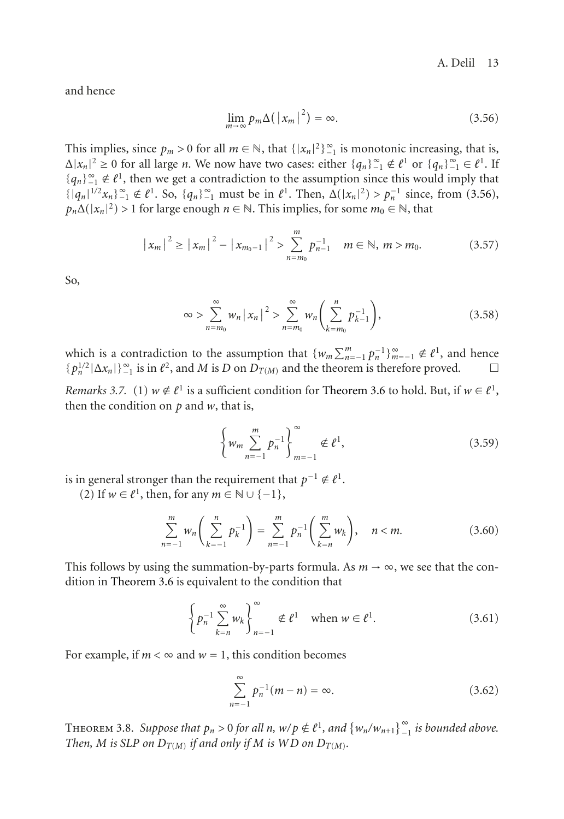and hence

<span id="page-12-0"></span>
$$
\lim_{m \to \infty} p_m \Delta \left( \left| x_m \right|^2 \right) = \infty. \tag{3.56}
$$

This implies, since  $p_m > 0$  for all  $m \in \mathbb{N}$ , that  $\{|x_n|^2\}_{-1}^{\infty}$  is monotonic increasing, that is,  $\Delta |x_n|^2 \ge 0$  for all large *n*. We now have two cases: either  $\{q_n\}_{-1}^{\infty} \notin \ell^1$  or  $\{q_n\}_{-1}^{\infty} \in \ell^1$ . If {*q<sub>n</sub>*}<sup>∞</sup><sub>1</sub> ∉  $l$ <sup>1</sup>, then we get a contradiction to the assumption since this would imply that  $\{|q_n|^{1/2}x_n\}_{n=1}^{\infty} \notin \ell^1$ . So,  $\{q_n\}_{n=1}^{\infty}$  must be in  $\ell^1$ . Then,  $\Delta(|x_n|^2) > p_n^{-1}$  since, from [\(3.56\)](#page-12-0),  $p_n\Delta(|x_n|^2) > 1$  for large enough  $n \in \mathbb{N}$ . This implies, for some  $m_0 \in \mathbb{N}$ , that

$$
|x_m|^2 \ge |x_m|^2 - |x_{m_0-1}|^2 > \sum_{n=m_0}^m p_{n-1}^{-1} \quad m \in \mathbb{N}, \, m > m_0.
$$
 (3.57)

So,

$$
\infty > \sum_{n=m_0}^{\infty} w_n |x_n|^2 > \sum_{n=m_0}^{\infty} w_n \left( \sum_{k=m_0}^n p_{k-1}^{-1} \right), \tag{3.58}
$$

which is a contradiction to the assumption that  $\{w_m \sum_{n=1}^m p_n^{-1}\}_{m=-1}^{\infty} \notin \ell^1$ , and hence  ${p_n^{1/2}|\Delta x_n|}_{-1}$  is in  $\ell^2$ , and *M* is *D* on  $D_{T(M)}$  and the theorem is therefore proved.  $\Box$ 

*Remarks 3.7.* (1)  $w \notin \ell^1$  is a sufficient condition for [Theorem 3.6](#page-11-2) to hold. But, if  $w \in \ell^1$ , then the condition on *p* and *w*, that is,

$$
\left\{ w_m \sum_{n=-1}^{m} p_n^{-1} \right\}_{m=-1}^{\infty} \notin \ell^1,
$$
\n(3.59)

is in general stronger than the requirement that  $p^{-1} \notin \ell^1$ .

(2) If  $w \in \ell^1$ , then, for any  $m \in \mathbb{N} \cup \{-1\}$ ,

$$
\sum_{n=-1}^{m} w_n \left( \sum_{k=-1}^{n} p_k^{-1} \right) = \sum_{n=-1}^{m} p_n^{-1} \left( \sum_{k=n}^{m} w_k \right), \quad n < m. \tag{3.60}
$$

This follows by using the summation-by-parts formula. As  $m \rightarrow \infty$ , we see that the condition in [Theorem 3.6](#page-11-2) is equivalent to the condition that

$$
\left\{ p_n^{-1} \sum_{k=n}^{\infty} w_k \right\}_{n=-1}^{\infty} \notin \ell^1 \quad \text{when } w \in \ell^1. \tag{3.61}
$$

For example, if  $m < \infty$  and  $w = 1$ , this condition becomes

$$
\sum_{n=-1}^{\infty} p_n^{-1}(m-n) = \infty.
$$
 (3.62)

<span id="page-12-1"></span>THEOREM 3.8. Suppose that  $p_n > 0$  for all  $n, w/p \notin \ell^1$ , and  $\{w_n/w_{n+1}\}_{-1}^{\infty}$  is bounded above. *Then, M is SLP on*  $D_{T(M)}$  *if and only if M is WD on*  $D_{T(M)}$ *.*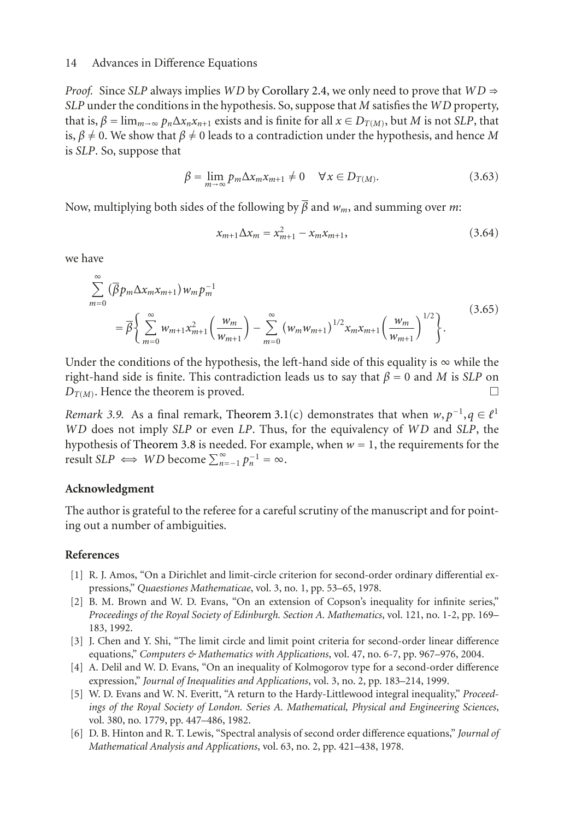*Proof.* Since *SLP* always implies *WD* by [Corollary 2.4,](#page-4-0) we only need to prove that  $WD \Rightarrow$ *SLP* under the conditions in the hypothesis. So, suppose that *M* satisfies the *WD* property, that is,  $\beta = \lim_{m \to \infty} p_n \Delta x_n x_{n+1}$  exists and is finite for all  $x \in D_{T(M)}$ , but *M* is not *SLP*, that is,  $\beta \neq 0$ . We show that  $\beta \neq 0$  leads to a contradiction under the hypothesis, and hence M is *SLP*. So, suppose that

$$
\beta = \lim_{m \to \infty} p_m \Delta x_m x_{m+1} \neq 0 \quad \forall x \in D_{T(M)}.
$$
\n(3.63)

Now, multiplying both sides of the following by *β* and *wm*, and summing over *m*:

$$
x_{m+1} \Delta x_m = x_{m+1}^2 - x_m x_{m+1}, \tag{3.64}
$$

we have

$$
\sum_{m=0}^{\infty} (\overline{\beta} p_m \Delta x_m x_{m+1}) w_m p_m^{-1}
$$
\n
$$
= \overline{\beta} \left\{ \sum_{m=0}^{\infty} w_{m+1} x_{m+1}^2 \left( \frac{w_m}{w_{m+1}} \right) - \sum_{m=0}^{\infty} (w_m w_{m+1})^{1/2} x_m x_{m+1} \left( \frac{w_m}{w_{m+1}} \right)^{1/2} \right\}.
$$
\n(3.65)

Under the conditions of the hypothesis, the left-hand side of this equality is  $\infty$  while the right-hand side is finite. This contradiction leads us to say that  $\beta = 0$  and *M* is *SLP* on  $D_{T(M)}$ . Hence the theorem is proved.  $\Box$ 

*Remark 3.9.* As a final remark, [Theorem 3.1\(](#page-4-2)c) demonstrates that when  $w, p^{-1}, q \in \ell^1$ *WD* does not imply *SLP* or even *LP*. Thus, for the equivalency of *WD* and *SLP*, the hypothesis of [Theorem 3.8](#page-12-1) is needed. For example, when  $w = 1$ , the requirements for the result *SLP*  $\iff WD$  become  $\sum_{n=-1}^{\infty} p_n^{-1} = \infty$ .

# **Acknowledgment**

The author is grateful to the referee for a careful scrutiny of the manuscript and for pointing out a number of ambiguities.

# <span id="page-13-1"></span><span id="page-13-0"></span>**References**

- [1] R. J. Amos, "On a Dirichlet and limit-circle criterion for second-order ordinary differential expressions," *Quaestiones Mathematicae*, vol. 3, no. 1, pp. 53–65, 1978.
- [2] B. M. Brown and W. D. Evans, "On an extension of Copson's inequality for infinite series," *Proceedings of the Royal Society of Edinburgh. Section A. Mathematics*, vol. 121, no. 1-2, pp. 169– 183, 1992.
- [3] J. Chen and Y. Shi, "The limit circle and limit point criteria for second-order linear difference equations," *Computers & Mathematics with Applications*, vol. 47, no. 6-7, pp. 967–976, 2004.
- [4] A. Delil and W. D. Evans, "On an inequality of Kolmogorov type for a second-order difference expression," *Journal of Inequalities and Applications*, vol. 3, no. 2, pp. 183–214, 1999.
- [5] W. D. Evans and W. N. Everitt, "A return to the Hardy-Littlewood integral inequality," *Proceedings of the Royal Society of London. Series A. Mathematical, Physical and Engineering Sciences*, vol. 380, no. 1779, pp. 447–486, 1982.
- <span id="page-13-2"></span>[6] D. B. Hinton and R. T. Lewis, "Spectral analysis of second order difference equations," *Journal of Mathematical Analysis and Applications*, vol. 63, no. 2, pp. 421–438, 1978.